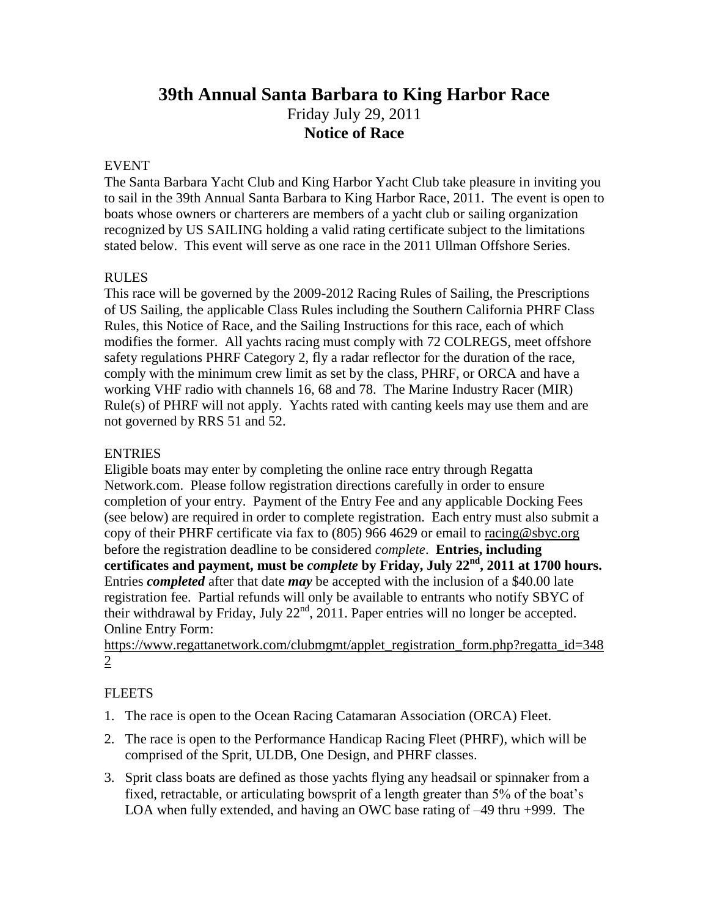# **39th Annual Santa Barbara to King Harbor Race** Friday July 29, 2011 **Notice of Race**

# EVENT

The Santa Barbara Yacht Club and King Harbor Yacht Club take pleasure in inviting you to sail in the 39th Annual Santa Barbara to King Harbor Race, 2011. The event is open to boats whose owners or charterers are members of a yacht club or sailing organization recognized by US SAILING holding a valid rating certificate subject to the limitations stated below. This event will serve as one race in the 2011 Ullman Offshore Series.

# RULES

This race will be governed by the 2009-2012 Racing Rules of Sailing, the Prescriptions of US Sailing, the applicable Class Rules including the Southern California PHRF Class Rules, this Notice of Race, and the Sailing Instructions for this race, each of which modifies the former. All yachts racing must comply with 72 COLREGS, meet offshore safety regulations PHRF Category 2, fly a radar reflector for the duration of the race, comply with the minimum crew limit as set by the class, PHRF, or ORCA and have a working VHF radio with channels 16, 68 and 78. The Marine Industry Racer (MIR) Rule(s) of PHRF will not apply. Yachts rated with canting keels may use them and are not governed by RRS 51 and 52.

# **ENTRIES**

Eligible boats may enter by completing the online race entry through Regatta Network.com. Please follow registration directions carefully in order to ensure completion of your entry. Payment of the Entry Fee and any applicable Docking Fees (see below) are required in order to complete registration. Each entry must also submit a copy of their PHRF certificate via fax to (805) 966 4629 or email to [racing@sbyc.org](mailto:racing@sbyc.org) before the registration deadline to be considered *complete*. **Entries, including certificates and payment, must be** *complete* **by Friday, July 22 nd, 2011 at 1700 hours.** Entries *completed* after that date *may* be accepted with the inclusion of a \$40.00 late registration fee. Partial refunds will only be available to entrants who notify SBYC of their withdrawal by Friday, July  $22<sup>nd</sup>$ , 2011. Paper entries will no longer be accepted. Online Entry Form:

[https://www.regattanetwork.com/clubmgmt/applet\\_registration\\_form.php?regatta\\_id=348](https://www.regattanetwork.com/clubmgmt/applet_registration_form.php?regatta_id=3482) [2](https://www.regattanetwork.com/clubmgmt/applet_registration_form.php?regatta_id=3482)

#### **FLEETS**

- 1. The race is open to the Ocean Racing Catamaran Association (ORCA) Fleet.
- 2. The race is open to the Performance Handicap Racing Fleet (PHRF), which will be comprised of the Sprit, ULDB, One Design, and PHRF classes.
- 3. Sprit class boats are defined as those yachts flying any headsail or spinnaker from a fixed, retractable, or articulating bowsprit of a length greater than 5% of the boat's LOA when fully extended, and having an OWC base rating of –49 thru +999. The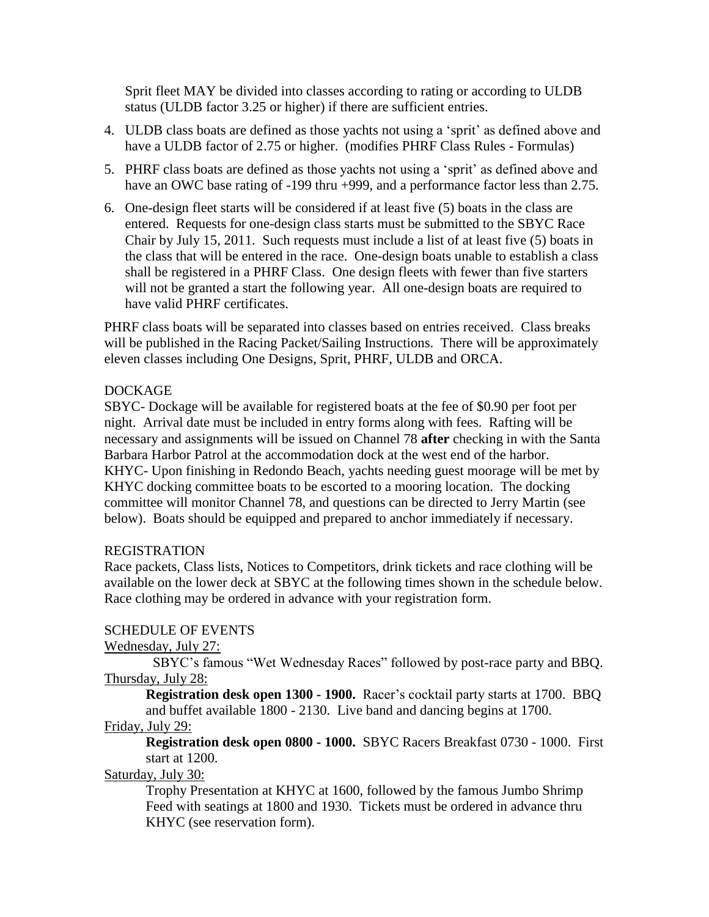Sprit fleet MAY be divided into classes according to rating or according to ULDB status (ULDB factor 3.25 or higher) if there are sufficient entries.

- 4. ULDB class boats are defined as those yachts not using a "sprit" as defined above and have a ULDB factor of 2.75 or higher. (modifies PHRF Class Rules - Formulas)
- 5. PHRF class boats are defined as those yachts not using a "sprit" as defined above and have an OWC base rating of -199 thru +999, and a performance factor less than 2.75.
- 6. One-design fleet starts will be considered if at least five (5) boats in the class are entered. Requests for one-design class starts must be submitted to the SBYC Race Chair by July 15, 2011. Such requests must include a list of at least five (5) boats in the class that will be entered in the race. One-design boats unable to establish a class shall be registered in a PHRF Class. One design fleets with fewer than five starters will not be granted a start the following year. All one-design boats are required to have valid PHRF certificates.

PHRF class boats will be separated into classes based on entries received. Class breaks will be published in the Racing Packet/Sailing Instructions. There will be approximately eleven classes including One Designs, Sprit, PHRF, ULDB and ORCA.

# DOCKAGE

SBYC- Dockage will be available for registered boats at the fee of \$0.90 per foot per night. Arrival date must be included in entry forms along with fees. Rafting will be necessary and assignments will be issued on Channel 78 **after** checking in with the Santa Barbara Harbor Patrol at the accommodation dock at the west end of the harbor. KHYC- Upon finishing in Redondo Beach, yachts needing guest moorage will be met by KHYC docking committee boats to be escorted to a mooring location. The docking committee will monitor Channel 78, and questions can be directed to Jerry Martin (see below). Boats should be equipped and prepared to anchor immediately if necessary.

#### REGISTRATION

Race packets, Class lists, Notices to Competitors, drink tickets and race clothing will be available on the lower deck at SBYC at the following times shown in the schedule below. Race clothing may be ordered in advance with your registration form.

#### SCHEDULE OF EVENTS

#### Wednesday, July 27:

 SBYC"s famous "Wet Wednesday Races" followed by post-race party and BBQ. Thursday, July 28:

**Registration desk open 1300 - 1900.** Racer's cocktail party starts at 1700. BBQ and buffet available 1800 - 2130. Live band and dancing begins at 1700.

#### Friday, July 29:

**Registration desk open 0800 - 1000.** SBYC Racers Breakfast 0730 - 1000. First start at 1200.

## Saturday, July 30:

Trophy Presentation at KHYC at 1600, followed by the famous Jumbo Shrimp Feed with seatings at 1800 and 1930. Tickets must be ordered in advance thru KHYC (see reservation form).